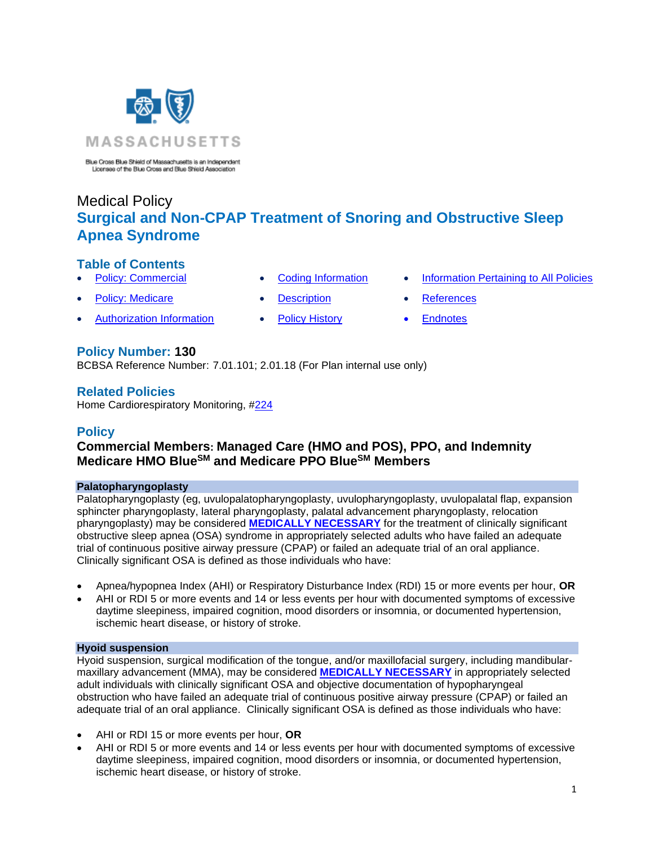

Blue Cross Blue Shield of Massachusetts is an Independent Licensee of the Blue Cross and Blue Shield Association

# Medical Policy **Surgical and Non-CPAP Treatment of Snoring and Obstructive Sleep Apnea Syndrome**

## **Table of Contents**

- 
- **[Policy: Medicare](#page-0-0) [Description](#page-6-0) [References](#page-11-1)**
- [Authorization Information](#page-2-0) [Policy History](#page-10-0) Endnotes

## **Policy Number: 130**

BCBSA Reference Number: 7.01.101; 2.01.18 (For Plan internal use only)

## **Related Policies**

<span id="page-0-0"></span>Home Cardiorespiratory Monitoring, [#224](https://www.bluecrossma.org/medical-policies/sites/g/files/csphws2091/files/acquiadam-assets/224%20Home%20Cardiorespiratory%20Monitoring%20prn.pdf)

## **Policy**

# **Commercial Members: Managed Care (HMO and POS), PPO, and Indemnity Medicare HMO BlueSM and Medicare PPO BlueSM Members**

#### **Palatopharyngoplasty**

Palatopharyngoplasty (eg, uvulopalatopharyngoplasty, uvulopharyngoplasty, uvulopalatal flap, expansion sphincter pharyngoplasty, lateral pharyngoplasty, palatal advancement pharyngoplasty, relocation pharyngoplasty) may be considered **[MEDICALLY NECESSARY](https://www.bluecrossma.org/medical-policies/sites/g/files/csphws2091/files/acquiadam-assets/Definition%20of%20Med%20Nec%20Inv%20Not%20Med%20Nec%20prn.pdf#page=1)** for the treatment of clinically significant obstructive sleep apnea (OSA) syndrome in appropriately selected adults who have failed an adequate trial of continuous positive airway pressure (CPAP) or failed an adequate trial of an oral appliance. Clinically significant OSA is defined as those individuals who have:

- Apnea/hypopnea Index (AHI) or Respiratory Disturbance Index (RDI) 15 or more events per hour, **OR**
- AHI or RDI 5 or more events and 14 or less events per hour with documented symptoms of excessive daytime sleepiness, impaired cognition, mood disorders or insomnia, or documented hypertension, ischemic heart disease, or history of stroke.

### **Hyoid suspension**

Hyoid suspension, surgical modification of the tongue, and/or maxillofacial surgery, including mandibularmaxillary advancement (MMA), may be considered **[MEDICALLY NECESSARY](https://www.bluecrossma.org/medical-policies/sites/g/files/csphws2091/files/acquiadam-assets/Definition%20of%20Med%20Nec%20Inv%20Not%20Med%20Nec%20prn.pdf#page=1)** in appropriately selected adult individuals with clinically significant OSA and objective documentation of hypopharyngeal obstruction who have failed an adequate trial of continuous positive airway pressure (CPAP) or failed an adequate trial of an oral appliance. Clinically significant OSA is defined as those individuals who have:

- AHI or RDI 15 or more events per hour, **OR**
- AHI or RDI 5 or more events and 14 or less events per hour with documented symptoms of excessive daytime sleepiness, impaired cognition, mood disorders or insomnia, or documented hypertension, ischemic heart disease, or history of stroke.
- 
- -
- **[Policy: Commercial](#page-0-0) [Coding Information](#page-3-0) [Information Pertaining to All Policies](#page-11-0)** 
	-
	-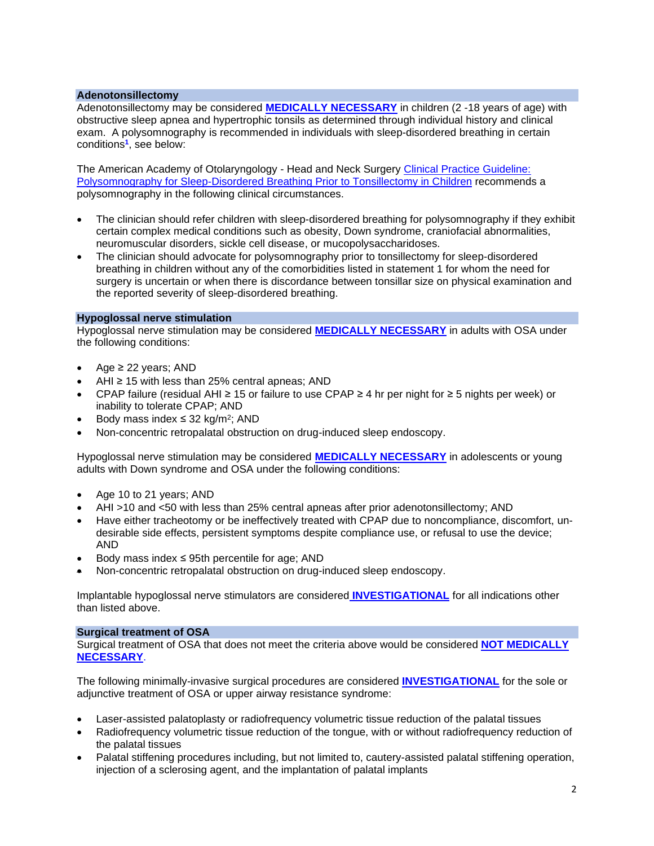#### **Adenotonsillectomy**

Adenotonsillectomy may be considered **[MEDICALLY NECESSARY](https://www.bluecrossma.org/medical-policies/sites/g/files/csphws2091/files/acquiadam-assets/Definition%20of%20Med%20Nec%20Inv%20Not%20Med%20Nec%20prn.pdf#page=1)** in children (2 -18 years of age) with obstructive sleep apnea and hypertrophic tonsils as determined through individual history and clinical exam. A polysomnography is recommended in individuals with sleep-disordered breathing in certain conditions**<sup>1</sup>** , see below:

The American Academy of Otolaryngology - Head and Neck Surgery [Clinical Practice](http://journals.sagepub.com/doi/pdf/10.1177/0194599811409837) Guideline: [Polysomnography for Sleep-Disordered Breathing Prior to Tonsillectomy in Children](http://journals.sagepub.com/doi/pdf/10.1177/0194599811409837) recommends a polysomnography in the following clinical circumstances.

- The clinician should refer children with sleep-disordered breathing for polysomnography if they exhibit certain complex medical conditions such as obesity, Down syndrome, craniofacial abnormalities, neuromuscular disorders, sickle cell disease, or mucopolysaccharidoses.
- The clinician should advocate for polysomnography prior to tonsillectomy for sleep-disordered breathing in children without any of the comorbidities listed in statement 1 for whom the need for surgery is uncertain or when there is discordance between tonsillar size on physical examination and the reported severity of sleep-disordered breathing.

### **Hypoglossal nerve stimulation**

Hypoglossal nerve stimulation may be considered **[MEDICALLY NECESSARY](https://www.bluecrossma.org/medical-policies/sites/g/files/csphws2091/files/acquiadam-assets/Definition%20of%20Med%20Nec%20Inv%20Not%20Med%20Nec%20prn.pdf#page=1)** in adults with OSA under the following conditions:

- Age  $\geq$  22 years; AND
- AHI  $\geq$  15 with less than 25% central apneas; AND
- CPAP failure (residual AHI ≥ 15 or failure to use CPAP ≥ 4 hr per night for ≥ 5 nights per week) or inability to tolerate CPAP; AND
- Body mass index ≤ 32 kg/m<sup>2</sup>; AND
- Non-concentric retropalatal obstruction on drug-induced sleep endoscopy.

Hypoglossal nerve stimulation may be considered **[MEDICALLY NECESSARY](https://www.bluecrossma.org/medical-policies/sites/g/files/csphws2091/files/acquiadam-assets/Definition%20of%20Med%20Nec%20Inv%20Not%20Med%20Nec%20prn.pdf#page=1)** in adolescents or young adults with Down syndrome and OSA under the following conditions:

- Age 10 to 21 years; AND
- AHI >10 and <50 with less than 25% central apneas after prior adenotonsillectomy; AND
- Have either tracheotomy or be ineffectively treated with CPAP due to noncompliance, discomfort, undesirable side effects, persistent symptoms despite compliance use, or refusal to use the device; AND
- Body mass index  $\leq$  95th percentile for age; AND
- Non-concentric retropalatal obstruction on drug-induced sleep endoscopy.

Implantable hypoglossal nerve stimulators are considered **[INVESTIGATIONAL](https://www.bluecrossma.org/medical-policies/sites/g/files/csphws2091/files/acquiadam-assets/Definition%20of%20Med%20Nec%20Inv%20Not%20Med%20Nec%20prn.pdf#page=1)** for all indications other than listed above.

#### **Surgical treatment of OSA**

Surgical treatment of OSA that does not meet the criteria above would be considered **NOT [MEDICALLY](https://www.bluecrossma.org/medical-policies/sites/g/files/csphws2091/files/acquiadam-assets/Definition%20of%20Med%20Nec%20Inv%20Not%20Med%20Nec%20prn.pdf#page=1)  [NECESSARY](https://www.bluecrossma.org/medical-policies/sites/g/files/csphws2091/files/acquiadam-assets/Definition%20of%20Med%20Nec%20Inv%20Not%20Med%20Nec%20prn.pdf#page=1)**.

The following minimally-invasive surgical procedures are considered **[INVESTIGATIONAL](https://www.bluecrossma.org/medical-policies/sites/g/files/csphws2091/files/acquiadam-assets/Definition%20of%20Med%20Nec%20Inv%20Not%20Med%20Nec%20prn.pdf#page=1)** for the sole or adjunctive treatment of OSA or upper airway resistance syndrome:

- Laser-assisted palatoplasty or radiofrequency volumetric tissue reduction of the palatal tissues
- Radiofrequency volumetric tissue reduction of the tongue, with or without radiofrequency reduction of the palatal tissues
- Palatal stiffening procedures including, but not limited to, cautery-assisted palatal stiffening operation, injection of a sclerosing agent, and the implantation of palatal implants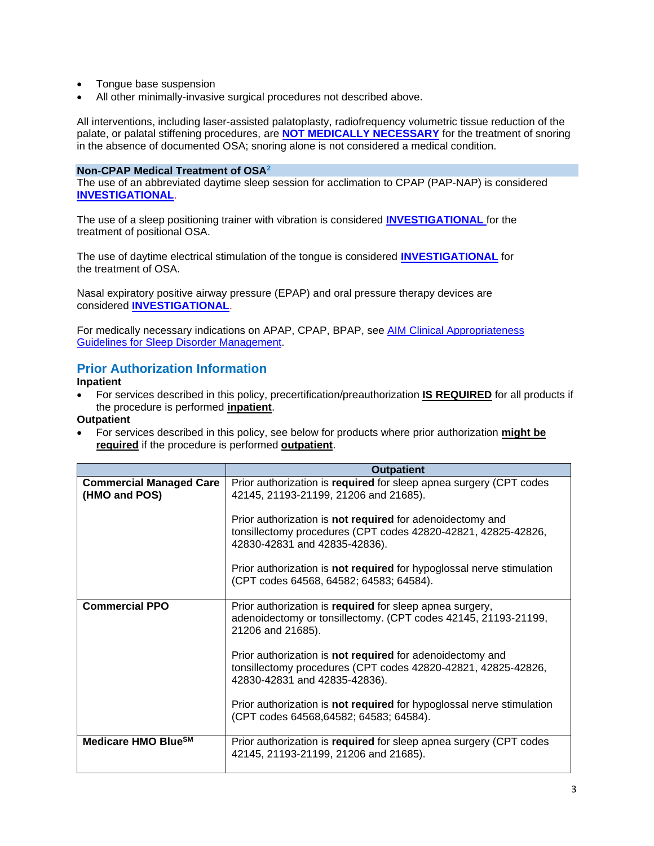- Tongue base suspension
- All other minimally-invasive surgical procedures not described above.

All interventions, including laser-assisted palatoplasty, radiofrequency volumetric tissue reduction of the palate, or palatal stiffening procedures, are **NOT [MEDICALLY NECESSARY](https://www.bluecrossma.org/medical-policies/sites/g/files/csphws2091/files/acquiadam-assets/Definition%20of%20Med%20Nec%20Inv%20Not%20Med%20Nec%20prn.pdf#page=1)** for the treatment of snoring in the absence of documented OSA; snoring alone is not considered a medical condition.

#### **Non-CPAP Medical Treatment of OSA<sup>2</sup>**

The use of an abbreviated daytime sleep session for acclimation to CPAP (PAP-NAP) is considered **[INVESTIGATIONAL](https://www.bluecrossma.org/medical-policies/sites/g/files/csphws2091/files/acquiadam-assets/Definition%20of%20Med%20Nec%20Inv%20Not%20Med%20Nec%20prn.pdf#page=1)**.

The use of a sleep positioning trainer with vibration is considered **[INVESTIGATIONAL](https://www.bluecrossma.org/medical-policies/sites/g/files/csphws2091/files/acquiadam-assets/Definition%20of%20Med%20Nec%20Inv%20Not%20Med%20Nec%20prn.pdf#page=1)** for the treatment of positional OSA.

The use of daytime electrical stimulation of the tongue is considered **[INVESTIGATIONAL](https://www.bluecrossma.org/medical-policies/sites/g/files/csphws2091/files/acquiadam-assets/Definition%20of%20Med%20Nec%20Inv%20Not%20Med%20Nec%20prn.pdf#page=1)** for the treatment of OSA.

Nasal expiratory positive airway pressure (EPAP) and oral pressure therapy devices are considered **[INVESTIGATIONAL](https://www.bluecrossma.org/medical-policies/sites/g/files/csphws2091/files/acquiadam-assets/Definition%20of%20Med%20Nec%20Inv%20Not%20Med%20Nec%20prn.pdf#page=1)**.

For medically necessary indications on APAP, CPAP, BPAP, see [AIM Clinical Appropriateness](https://aimspecialtyhealth.com/resources/clinical-guidelines/sleep/)  Guidelines for [Sleep Disorder Management.](https://aimspecialtyhealth.com/resources/clinical-guidelines/sleep/)

# <span id="page-2-0"></span>**Prior Authorization Information**

#### **Inpatient**

• For services described in this policy, precertification/preauthorization **IS REQUIRED** for all products if the procedure is performed **inpatient**.

#### **Outpatient**

• For services described in this policy, see below for products where prior authorization **might be required** if the procedure is performed **outpatient**.

|                                                 | <b>Outpatient</b>                                                                                                                                           |
|-------------------------------------------------|-------------------------------------------------------------------------------------------------------------------------------------------------------------|
| <b>Commercial Managed Care</b><br>(HMO and POS) | Prior authorization is required for sleep apnea surgery (CPT codes<br>42145, 21193-21199, 21206 and 21685).                                                 |
|                                                 | Prior authorization is not required for adenoidectomy and<br>tonsillectomy procedures (CPT codes 42820-42821, 42825-42826,<br>42830-42831 and 42835-42836). |
|                                                 | Prior authorization is not required for hypoglossal nerve stimulation<br>(CPT codes 64568, 64582; 64583; 64584).                                            |
| <b>Commercial PPO</b>                           | Prior authorization is required for sleep apnea surgery,<br>adenoidectomy or tonsillectomy. (CPT codes 42145, 21193-21199,<br>21206 and 21685).             |
|                                                 | Prior authorization is not required for adenoidectomy and<br>tonsillectomy procedures (CPT codes 42820-42821, 42825-42826,<br>42830-42831 and 42835-42836). |
|                                                 | Prior authorization is not required for hypoglossal nerve stimulation<br>(CPT codes 64568,64582; 64583; 64584).                                             |
| Medicare HMO Blue <sup>SM</sup>                 | Prior authorization is required for sleep apnea surgery (CPT codes<br>42145, 21193-21199, 21206 and 21685).                                                 |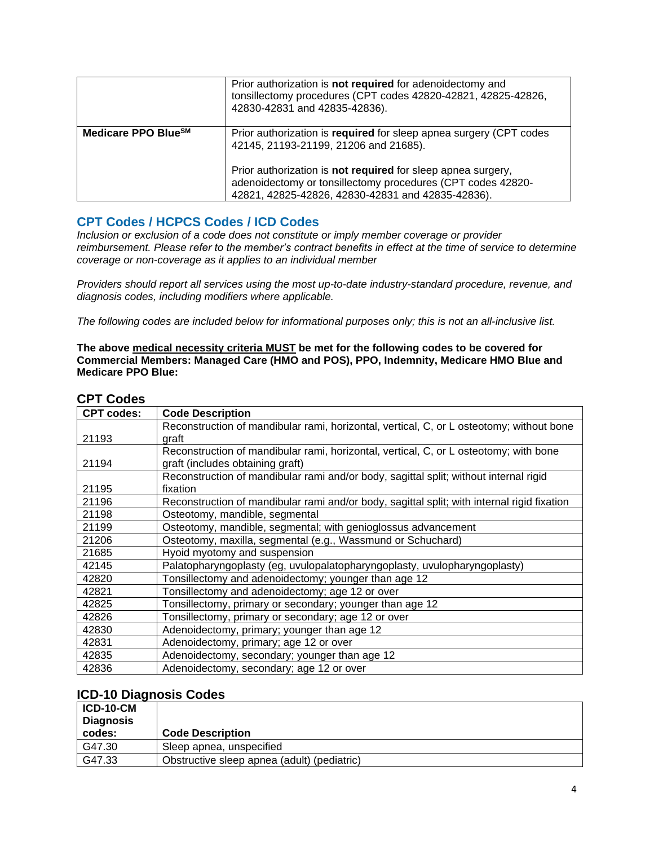|                                 | Prior authorization is not required for adenoidectomy and<br>tonsillectomy procedures (CPT codes 42820-42821, 42825-42826,<br>42830-42831 and 42835-42836).                      |
|---------------------------------|----------------------------------------------------------------------------------------------------------------------------------------------------------------------------------|
| Medicare PPO Blue <sup>SM</sup> | Prior authorization is required for sleep apnea surgery (CPT codes<br>42145, 21193-21199, 21206 and 21685).                                                                      |
|                                 | Prior authorization is not required for sleep apnea surgery,<br>adenoidectomy or tonsillectomy procedures (CPT codes 42820-<br>42821, 42825-42826, 42830-42831 and 42835-42836). |

# <span id="page-3-0"></span>**CPT Codes / HCPCS Codes / ICD Codes**

*Inclusion or exclusion of a code does not constitute or imply member coverage or provider reimbursement. Please refer to the member's contract benefits in effect at the time of service to determine coverage or non-coverage as it applies to an individual member*

*Providers should report all services using the most up-to-date industry-standard procedure, revenue, and diagnosis codes, including modifiers where applicable.*

The following codes are included below for informational purposes only; this is not an all-inclusive list.

**The above medical necessity criteria MUST be met for the following codes to be covered for Commercial Members: Managed Care (HMO and POS), PPO, Indemnity, Medicare HMO Blue and Medicare PPO Blue:**

## **CPT Codes**

| <b>CPT codes:</b> | <b>Code Description</b>                                                                     |
|-------------------|---------------------------------------------------------------------------------------------|
|                   | Reconstruction of mandibular rami, horizontal, vertical, C, or L osteotomy; without bone    |
| 21193             | graft                                                                                       |
|                   | Reconstruction of mandibular rami, horizontal, vertical, C, or L osteotomy; with bone       |
| 21194             | graft (includes obtaining graft)                                                            |
|                   | Reconstruction of mandibular rami and/or body, sagittal split; without internal rigid       |
| 21195             | fixation                                                                                    |
| 21196             | Reconstruction of mandibular rami and/or body, sagittal split; with internal rigid fixation |
| 21198             | Osteotomy, mandible, segmental                                                              |
| 21199             | Osteotomy, mandible, segmental; with genioglossus advancement                               |
| 21206             | Osteotomy, maxilla, segmental (e.g., Wassmund or Schuchard)                                 |
| 21685             | Hyoid myotomy and suspension                                                                |
| 42145             | Palatopharyngoplasty (eg, uvulopalatopharyngoplasty, uvulopharyngoplasty)                   |
| 42820             | Tonsillectomy and adenoidectomy; younger than age 12                                        |
| 42821             | Tonsillectomy and adenoidectomy; age 12 or over                                             |
| 42825             | Tonsillectomy, primary or secondary; younger than age 12                                    |
| 42826             | Tonsillectomy, primary or secondary; age 12 or over                                         |
| 42830             | Adenoidectomy, primary; younger than age 12                                                 |
| 42831             | Adenoidectomy, primary; age 12 or over                                                      |
| 42835             | Adenoidectomy, secondary; younger than age 12                                               |
| 42836             | Adenoidectomy, secondary; age 12 or over                                                    |

## **ICD-10 Diagnosis Codes**

| <b>ICD-10-CM</b><br><b>Diagnosis</b> |                                             |
|--------------------------------------|---------------------------------------------|
| codes:                               | <b>Code Description</b>                     |
| G47.30                               | Sleep apnea, unspecified                    |
| G47.33                               | Obstructive sleep apnea (adult) (pediatric) |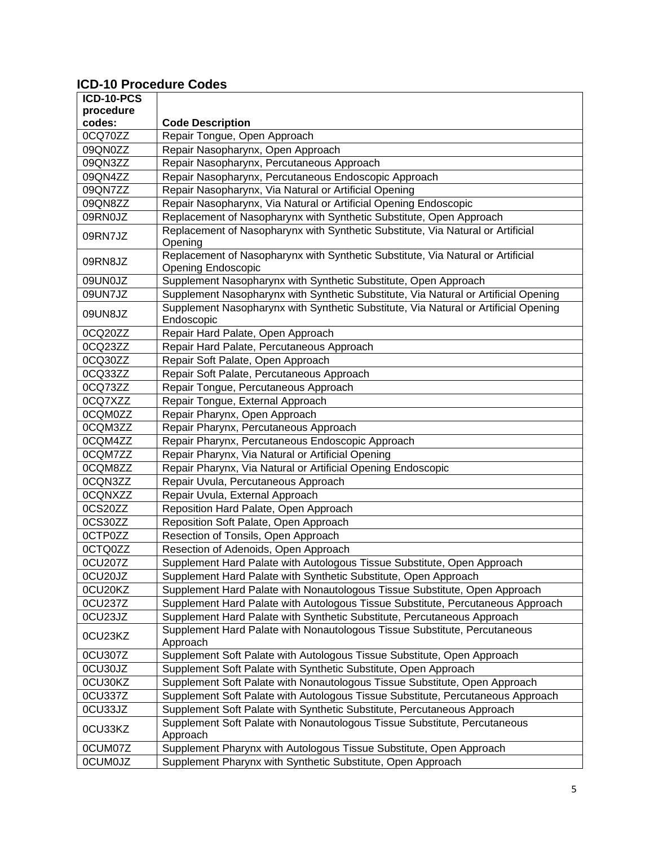# **ICD-10 Procedure Codes**

| ICD-10-PCS     |                                                                                                              |
|----------------|--------------------------------------------------------------------------------------------------------------|
| procedure      |                                                                                                              |
| codes:         | <b>Code Description</b>                                                                                      |
| 0CQ70ZZ        | Repair Tongue, Open Approach                                                                                 |
| 09QN0ZZ        | Repair Nasopharynx, Open Approach                                                                            |
| 09QN3ZZ        | Repair Nasopharynx, Percutaneous Approach                                                                    |
| 09QN4ZZ        | Repair Nasopharynx, Percutaneous Endoscopic Approach                                                         |
| 09QN7ZZ        | Repair Nasopharynx, Via Natural or Artificial Opening                                                        |
| 09QN8ZZ        | Repair Nasopharynx, Via Natural or Artificial Opening Endoscopic                                             |
| 09RN0JZ        | Replacement of Nasopharynx with Synthetic Substitute, Open Approach                                          |
| 09RN7JZ        | Replacement of Nasopharynx with Synthetic Substitute, Via Natural or Artificial<br>Opening                   |
| 09RN8JZ        | Replacement of Nasopharynx with Synthetic Substitute, Via Natural or Artificial<br><b>Opening Endoscopic</b> |
| 09UN0JZ        | Supplement Nasopharynx with Synthetic Substitute, Open Approach                                              |
| 09UN7JZ        | Supplement Nasopharynx with Synthetic Substitute, Via Natural or Artificial Opening                          |
| 09UN8JZ        | Supplement Nasopharynx with Synthetic Substitute, Via Natural or Artificial Opening<br>Endoscopic            |
| 0CQ20ZZ        | Repair Hard Palate, Open Approach                                                                            |
| 0CQ23ZZ        | Repair Hard Palate, Percutaneous Approach                                                                    |
| 0CQ30ZZ        | Repair Soft Palate, Open Approach                                                                            |
| 0CQ33ZZ        | Repair Soft Palate, Percutaneous Approach                                                                    |
| 0CQ73ZZ        | Repair Tongue, Percutaneous Approach                                                                         |
| 0CQ7XZZ        | Repair Tongue, External Approach                                                                             |
| 0CQM0ZZ        | Repair Pharynx, Open Approach                                                                                |
| 0CQM3ZZ        | Repair Pharynx, Percutaneous Approach                                                                        |
| 0CQM4ZZ        | Repair Pharynx, Percutaneous Endoscopic Approach                                                             |
| 0CQM7ZZ        | Repair Pharynx, Via Natural or Artificial Opening                                                            |
| 0CQM8ZZ        | Repair Pharynx, Via Natural or Artificial Opening Endoscopic                                                 |
| 0CQN3ZZ        | Repair Uvula, Percutaneous Approach                                                                          |
| 0CQNXZZ        | Repair Uvula, External Approach                                                                              |
| 0CS20ZZ        | Reposition Hard Palate, Open Approach                                                                        |
| 0CS30ZZ        | Reposition Soft Palate, Open Approach                                                                        |
| 0CTP0ZZ        | Resection of Tonsils, Open Approach                                                                          |
| 0CTQ0ZZ        | Resection of Adenoids, Open Approach                                                                         |
| 0CU207Z        | Supplement Hard Palate with Autologous Tissue Substitute, Open Approach                                      |
| 0CU20JZ        | Supplement Hard Palate with Synthetic Substitute, Open Approach                                              |
| 0CU20KZ        | Supplement Hard Palate with Nonautologous Tissue Substitute, Open Approach                                   |
| 0CU237Z        | Supplement Hard Palate with Autologous Tissue Substitute, Percutaneous Approach                              |
| 0CU23JZ        | Supplement Hard Palate with Synthetic Substitute, Percutaneous Approach                                      |
| 0CU23KZ        | Supplement Hard Palate with Nonautologous Tissue Substitute, Percutaneous<br>Approach                        |
| 0CU307Z        | Supplement Soft Palate with Autologous Tissue Substitute, Open Approach                                      |
| 0CU30JZ        | Supplement Soft Palate with Synthetic Substitute, Open Approach                                              |
| 0CU30KZ        | Supplement Soft Palate with Nonautologous Tissue Substitute, Open Approach                                   |
| 0CU337Z        | Supplement Soft Palate with Autologous Tissue Substitute, Percutaneous Approach                              |
| 0CU33JZ        | Supplement Soft Palate with Synthetic Substitute, Percutaneous Approach                                      |
| 0CU33KZ        | Supplement Soft Palate with Nonautologous Tissue Substitute, Percutaneous<br>Approach                        |
| 0CUM07Z        | Supplement Pharynx with Autologous Tissue Substitute, Open Approach                                          |
| <b>OCUMOJZ</b> | Supplement Pharynx with Synthetic Substitute, Open Approach                                                  |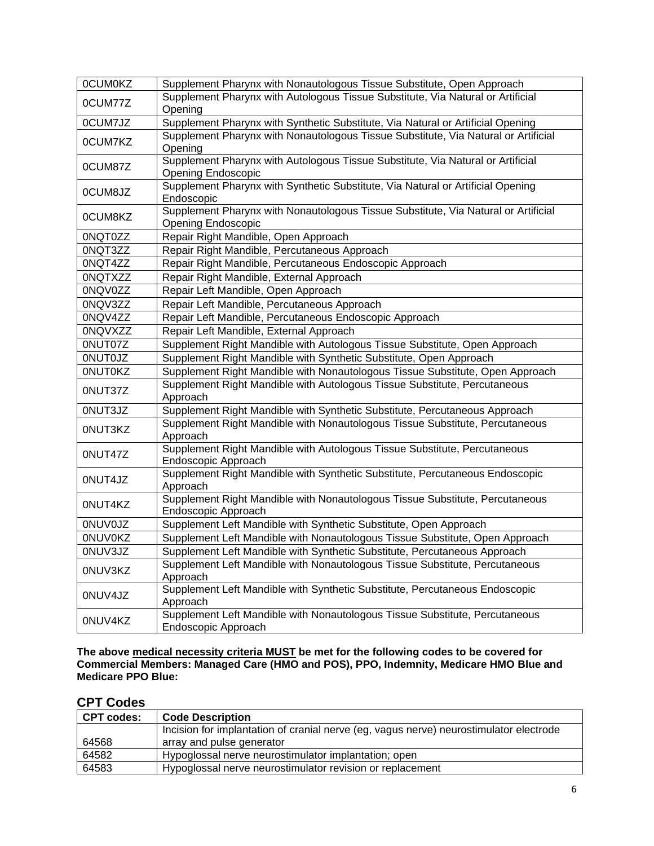| <b>OCUMOKZ</b> | Supplement Pharynx with Nonautologous Tissue Substitute, Open Approach                                          |
|----------------|-----------------------------------------------------------------------------------------------------------------|
|                |                                                                                                                 |
| 0CUM77Z        | Supplement Pharynx with Autologous Tissue Substitute, Via Natural or Artificial                                 |
|                | Opening                                                                                                         |
| 0CUM7JZ        | Supplement Pharynx with Synthetic Substitute, Via Natural or Artificial Opening                                 |
| 0CUM7KZ        | Supplement Pharynx with Nonautologous Tissue Substitute, Via Natural or Artificial<br>Opening                   |
| 0CUM87Z        | Supplement Pharynx with Autologous Tissue Substitute, Via Natural or Artificial<br><b>Opening Endoscopic</b>    |
| 0CUM8JZ        | Supplement Pharynx with Synthetic Substitute, Via Natural or Artificial Opening<br>Endoscopic                   |
| 0CUM8KZ        | Supplement Pharynx with Nonautologous Tissue Substitute, Via Natural or Artificial<br><b>Opening Endoscopic</b> |
| 0NQT0ZZ        | Repair Right Mandible, Open Approach                                                                            |
| 0NQT3ZZ        | Repair Right Mandible, Percutaneous Approach                                                                    |
| 0NQT4ZZ        | Repair Right Mandible, Percutaneous Endoscopic Approach                                                         |
| <b>ONQTXZZ</b> | Repair Right Mandible, External Approach                                                                        |
| 0NQV0ZZ        | Repair Left Mandible, Open Approach                                                                             |
| 0NQV3ZZ        | Repair Left Mandible, Percutaneous Approach                                                                     |
| 0NQV4ZZ        | Repair Left Mandible, Percutaneous Endoscopic Approach                                                          |
| <b>ONQVXZZ</b> | Repair Left Mandible, External Approach                                                                         |
| 0NUT07Z        | Supplement Right Mandible with Autologous Tissue Substitute, Open Approach                                      |
|                |                                                                                                                 |
| <b>ONUTOJZ</b> | Supplement Right Mandible with Synthetic Substitute, Open Approach                                              |
| <b>ONUTOKZ</b> | Supplement Right Mandible with Nonautologous Tissue Substitute, Open Approach                                   |
| 0NUT37Z        | Supplement Right Mandible with Autologous Tissue Substitute, Percutaneous<br>Approach                           |
| 0NUT3JZ        | Supplement Right Mandible with Synthetic Substitute, Percutaneous Approach                                      |
| 0NUT3KZ        | Supplement Right Mandible with Nonautologous Tissue Substitute, Percutaneous<br>Approach                        |
| 0NUT47Z        | Supplement Right Mandible with Autologous Tissue Substitute, Percutaneous<br>Endoscopic Approach                |
| 0NUT4JZ        | Supplement Right Mandible with Synthetic Substitute, Percutaneous Endoscopic<br>Approach                        |
| 0NUT4KZ        | Supplement Right Mandible with Nonautologous Tissue Substitute, Percutaneous<br>Endoscopic Approach             |
| <b>ONUVOJZ</b> | Supplement Left Mandible with Synthetic Substitute, Open Approach                                               |
| <b>ONUVOKZ</b> | Supplement Left Mandible with Nonautologous Tissue Substitute, Open Approach                                    |
| 0NUV3JZ        | Supplement Left Mandible with Synthetic Substitute, Percutaneous Approach                                       |
| 0NUV3KZ        | Supplement Left Mandible with Nonautologous Tissue Substitute, Percutaneous<br>Approach                         |
| 0NUV4JZ        | Supplement Left Mandible with Synthetic Substitute, Percutaneous Endoscopic<br>Approach                         |
| 0NUV4KZ        | Supplement Left Mandible with Nonautologous Tissue Substitute, Percutaneous<br>Endoscopic Approach              |

**The above medical necessity criteria MUST be met for the following codes to be covered for Commercial Members: Managed Care (HMO and POS), PPO, Indemnity, Medicare HMO Blue and Medicare PPO Blue:**

# **CPT Codes**

| <b>CPT codes:</b> | <b>Code Description</b>                                                                |
|-------------------|----------------------------------------------------------------------------------------|
|                   | Incision for implantation of cranial nerve (eg, vagus nerve) neurostimulator electrode |
| 64568             | array and pulse generator                                                              |
| 64582             | Hypoglossal nerve neurostimulator implantation; open                                   |
| 64583             | Hypoglossal nerve neurostimulator revision or replacement                              |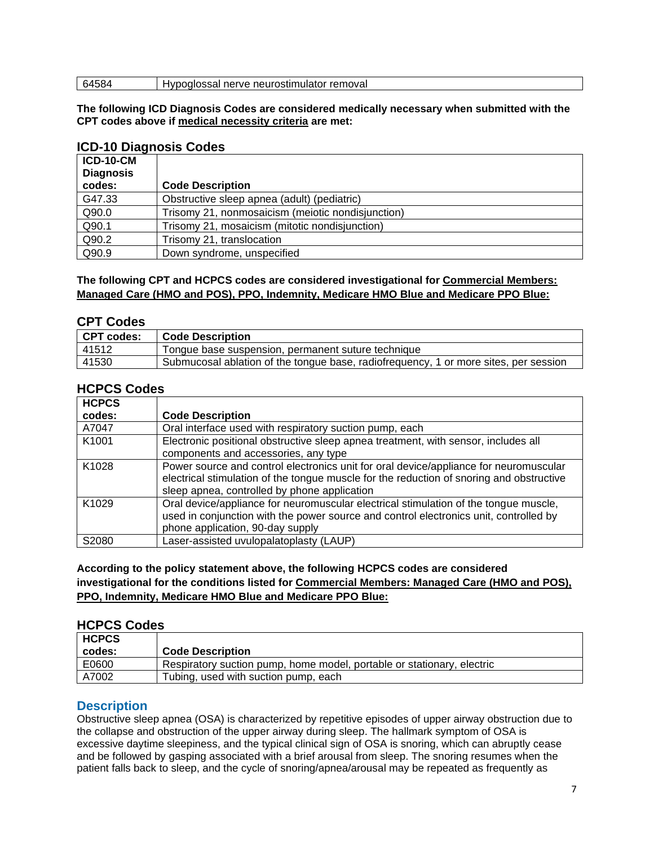| remova.<br>OSTIL<br>neu<br>$\cdots$<br>עו<br>וו <i>א</i> כאי<br>_______ |
|-------------------------------------------------------------------------|
|                                                                         |

#### **The following ICD Diagnosis Codes are considered medically necessary when submitted with the CPT codes above if medical necessity criteria are met:**

### **ICD-10 Diagnosis Codes**

| <b>ICD-10-CM</b><br><b>Diagnosis</b><br>codes: | <b>Code Description</b>                           |
|------------------------------------------------|---------------------------------------------------|
| G47.33                                         | Obstructive sleep apnea (adult) (pediatric)       |
| Q90.0                                          | Trisomy 21, nonmosaicism (meiotic nondisjunction) |
| Q90.1                                          | Trisomy 21, mosaicism (mitotic nondisjunction)    |
| Q90.2                                          | Trisomy 21, translocation                         |
| Q90.9                                          | Down syndrome, unspecified                        |

### **The following CPT and HCPCS codes are considered investigational for Commercial Members: Managed Care (HMO and POS), PPO, Indemnity, Medicare HMO Blue and Medicare PPO Blue:**

### **CPT Codes**

| CPT codes: | <b>Code Description</b>                                                              |
|------------|--------------------------------------------------------------------------------------|
| 41512      | Tongue base suspension, permanent suture technique                                   |
| 41530      | Submucosal ablation of the tongue base, radiofrequency, 1 or more sites, per session |

# **HCPCS Codes**

| <b>HCPCS</b>      |                                                                                          |
|-------------------|------------------------------------------------------------------------------------------|
| codes:            | <b>Code Description</b>                                                                  |
| A7047             | Oral interface used with respiratory suction pump, each                                  |
| K1001             | Electronic positional obstructive sleep apnea treatment, with sensor, includes all       |
|                   | components and accessories, any type                                                     |
| K <sub>1028</sub> | Power source and control electronics unit for oral device/appliance for neuromuscular    |
|                   | electrical stimulation of the tongue muscle for the reduction of snoring and obstructive |
|                   | sleep apnea, controlled by phone application                                             |
| K <sub>1029</sub> | Oral device/appliance for neuromuscular electrical stimulation of the tongue muscle,     |
|                   | used in conjunction with the power source and control electronics unit, controlled by    |
|                   | phone application, 90-day supply                                                         |
| S2080             | Laser-assisted uvulopalatoplasty (LAUP)                                                  |

### <span id="page-6-0"></span>**According to the policy statement above, the following HCPCS codes are considered investigational for the conditions listed for Commercial Members: Managed Care (HMO and POS), PPO, Indemnity, Medicare HMO Blue and Medicare PPO Blue:**

### **HCPCS Codes**

| <b>HCPCS</b><br>codes: | <b>Code Description</b>                                                |
|------------------------|------------------------------------------------------------------------|
| E0600                  | Respiratory suction pump, home model, portable or stationary, electric |
| A7002                  | Tubing, used with suction pump, each                                   |

## **Description**

Obstructive sleep apnea (OSA) is characterized by repetitive episodes of upper airway obstruction due to the collapse and obstruction of the upper airway during sleep. The hallmark symptom of OSA is excessive daytime sleepiness, and the typical clinical sign of OSA is snoring, which can abruptly cease and be followed by gasping associated with a brief arousal from sleep. The snoring resumes when the patient falls back to sleep, and the cycle of snoring/apnea/arousal may be repeated as frequently as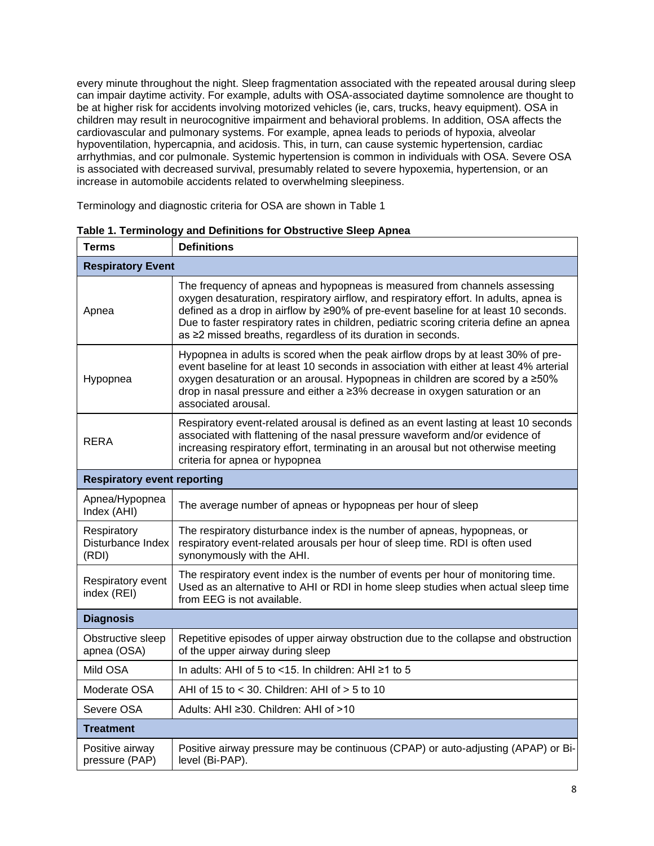every minute throughout the night. Sleep fragmentation associated with the repeated arousal during sleep can impair daytime activity. For example, adults with OSA-associated daytime somnolence are thought to be at higher risk for accidents involving motorized vehicles (ie, cars, trucks, heavy equipment). OSA in children may result in neurocognitive impairment and behavioral problems. In addition, OSA affects the cardiovascular and pulmonary systems. For example, apnea leads to periods of hypoxia, alveolar hypoventilation, hypercapnia, and acidosis. This, in turn, can cause systemic hypertension, cardiac arrhythmias, and cor pulmonale. Systemic hypertension is common in individuals with OSA. Severe OSA is associated with decreased survival, presumably related to severe hypoxemia, hypertension, or an increase in automobile accidents related to overwhelming sleepiness.

Terminology and diagnostic criteria for OSA are shown in Table 1

| <b>Terms</b>                              | <b>Definitions</b>                                                                                                                                                                                                                                                                                                                                                                                                   |  |
|-------------------------------------------|----------------------------------------------------------------------------------------------------------------------------------------------------------------------------------------------------------------------------------------------------------------------------------------------------------------------------------------------------------------------------------------------------------------------|--|
| <b>Respiratory Event</b>                  |                                                                                                                                                                                                                                                                                                                                                                                                                      |  |
| Apnea                                     | The frequency of apneas and hypopneas is measured from channels assessing<br>oxygen desaturation, respiratory airflow, and respiratory effort. In adults, apnea is<br>defined as a drop in airflow by ≥90% of pre-event baseline for at least 10 seconds.<br>Due to faster respiratory rates in children, pediatric scoring criteria define an apnea<br>as ≥2 missed breaths, regardless of its duration in seconds. |  |
| Hypopnea                                  | Hypopnea in adults is scored when the peak airflow drops by at least 30% of pre-<br>event baseline for at least 10 seconds in association with either at least 4% arterial<br>oxygen desaturation or an arousal. Hypopneas in children are scored by a ≥50%<br>drop in nasal pressure and either a ≥3% decrease in oxygen saturation or an<br>associated arousal.                                                    |  |
| <b>RERA</b>                               | Respiratory event-related arousal is defined as an event lasting at least 10 seconds<br>associated with flattening of the nasal pressure waveform and/or evidence of<br>increasing respiratory effort, terminating in an arousal but not otherwise meeting<br>criteria for apnea or hypopnea                                                                                                                         |  |
| <b>Respiratory event reporting</b>        |                                                                                                                                                                                                                                                                                                                                                                                                                      |  |
| Apnea/Hypopnea<br>Index (AHI)             | The average number of apneas or hypopneas per hour of sleep                                                                                                                                                                                                                                                                                                                                                          |  |
| Respiratory<br>Disturbance Index<br>(RDI) | The respiratory disturbance index is the number of apneas, hypopneas, or<br>respiratory event-related arousals per hour of sleep time. RDI is often used<br>synonymously with the AHI.                                                                                                                                                                                                                               |  |
| Respiratory event<br>index (REI)          | The respiratory event index is the number of events per hour of monitoring time.<br>Used as an alternative to AHI or RDI in home sleep studies when actual sleep time<br>from EEG is not available.                                                                                                                                                                                                                  |  |
| <b>Diagnosis</b>                          |                                                                                                                                                                                                                                                                                                                                                                                                                      |  |
| Obstructive sleep<br>apnea (OSA)          | Repetitive episodes of upper airway obstruction due to the collapse and obstruction<br>of the upper airway during sleep                                                                                                                                                                                                                                                                                              |  |
| Mild OSA                                  | In adults: AHI of 5 to <15. In children: AHI ≥1 to 5                                                                                                                                                                                                                                                                                                                                                                 |  |
| Moderate OSA                              | AHI of 15 to < 30. Children: AHI of > 5 to 10                                                                                                                                                                                                                                                                                                                                                                        |  |
| Severe OSA                                | Adults: AHI ≥30. Children: AHI of >10                                                                                                                                                                                                                                                                                                                                                                                |  |
| <b>Treatment</b>                          |                                                                                                                                                                                                                                                                                                                                                                                                                      |  |
| Positive airway<br>pressure (PAP)         | Positive airway pressure may be continuous (CPAP) or auto-adjusting (APAP) or Bi-<br>level (Bi-PAP).                                                                                                                                                                                                                                                                                                                 |  |

**Table 1. Terminology and Definitions for Obstructive Sleep Apnea**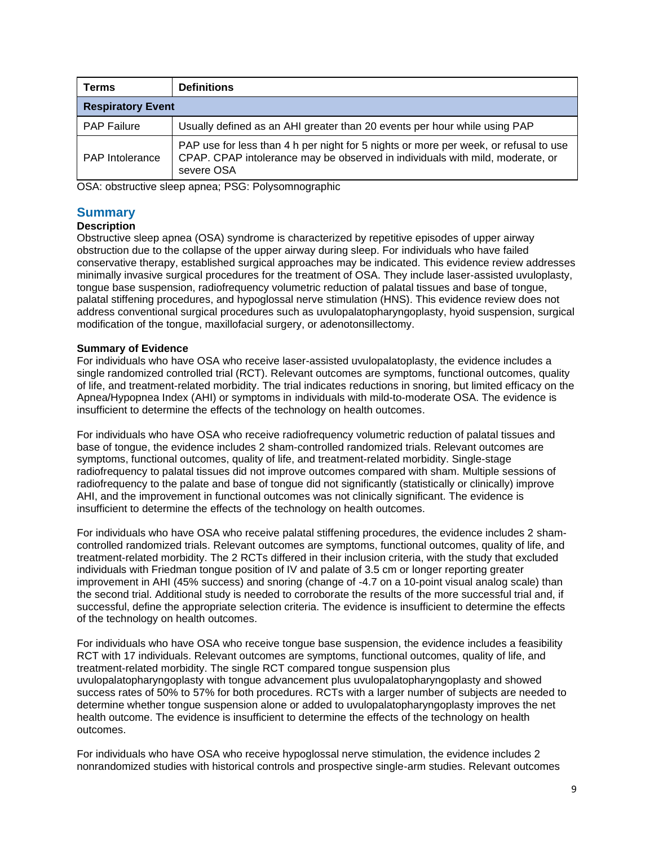| <b>Terms</b>             | <b>Definitions</b>                                                                                                                                                                  |  |
|--------------------------|-------------------------------------------------------------------------------------------------------------------------------------------------------------------------------------|--|
| <b>Respiratory Event</b> |                                                                                                                                                                                     |  |
| <b>PAP Failure</b>       | Usually defined as an AHI greater than 20 events per hour while using PAP                                                                                                           |  |
| <b>PAP</b> Intolerance   | PAP use for less than 4 h per night for 5 nights or more per week, or refusal to use<br>CPAP. CPAP intolerance may be observed in individuals with mild, moderate, or<br>severe OSA |  |

OSA: obstructive sleep apnea; PSG: Polysomnographic

# **Summary**

### **Description**

Obstructive sleep apnea (OSA) syndrome is characterized by repetitive episodes of upper airway obstruction due to the collapse of the upper airway during sleep. For individuals who have failed conservative therapy, established surgical approaches may be indicated. This evidence review addresses minimally invasive surgical procedures for the treatment of OSA. They include laser-assisted uvuloplasty, tongue base suspension, radiofrequency volumetric reduction of palatal tissues and base of tongue, palatal stiffening procedures, and hypoglossal nerve stimulation (HNS). This evidence review does not address conventional surgical procedures such as uvulopalatopharyngoplasty, hyoid suspension, surgical modification of the tongue, maxillofacial surgery, or adenotonsillectomy.

### **Summary of Evidence**

For individuals who have OSA who receive laser-assisted uvulopalatoplasty, the evidence includes a single randomized controlled trial (RCT). Relevant outcomes are symptoms, functional outcomes, quality of life, and treatment-related morbidity. The trial indicates reductions in snoring, but limited efficacy on the Apnea/Hypopnea Index (AHI) or symptoms in individuals with mild-to-moderate OSA. The evidence is insufficient to determine the effects of the technology on health outcomes.

For individuals who have OSA who receive radiofrequency volumetric reduction of palatal tissues and base of tongue, the evidence includes 2 sham-controlled randomized trials. Relevant outcomes are symptoms, functional outcomes, quality of life, and treatment-related morbidity. Single-stage radiofrequency to palatal tissues did not improve outcomes compared with sham. Multiple sessions of radiofrequency to the palate and base of tongue did not significantly (statistically or clinically) improve AHI, and the improvement in functional outcomes was not clinically significant. The evidence is insufficient to determine the effects of the technology on health outcomes.

For individuals who have OSA who receive palatal stiffening procedures, the evidence includes 2 shamcontrolled randomized trials. Relevant outcomes are symptoms, functional outcomes, quality of life, and treatment-related morbidity. The 2 RCTs differed in their inclusion criteria, with the study that excluded individuals with Friedman tongue position of IV and palate of 3.5 cm or longer reporting greater improvement in AHI (45% success) and snoring (change of -4.7 on a 10-point visual analog scale) than the second trial. Additional study is needed to corroborate the results of the more successful trial and, if successful, define the appropriate selection criteria. The evidence is insufficient to determine the effects of the technology on health outcomes.

For individuals who have OSA who receive tongue base suspension, the evidence includes a feasibility RCT with 17 individuals. Relevant outcomes are symptoms, functional outcomes, quality of life, and treatment-related morbidity. The single RCT compared tongue suspension plus uvulopalatopharyngoplasty with tongue advancement plus uvulopalatopharyngoplasty and showed success rates of 50% to 57% for both procedures. RCTs with a larger number of subjects are needed to determine whether tongue suspension alone or added to uvulopalatopharyngoplasty improves the net health outcome. The evidence is insufficient to determine the effects of the technology on health outcomes.

For individuals who have OSA who receive hypoglossal nerve stimulation, the evidence includes 2 nonrandomized studies with historical controls and prospective single-arm studies. Relevant outcomes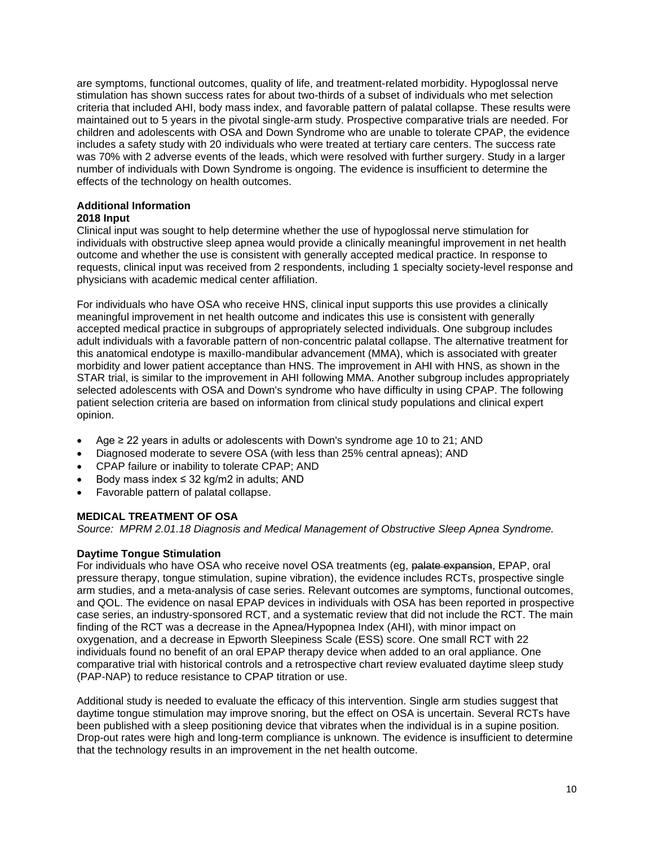are symptoms, functional outcomes, quality of life, and treatment-related morbidity. Hypoglossal nerve stimulation has shown success rates for about two-thirds of a subset of individuals who met selection criteria that included AHI, body mass index, and favorable pattern of palatal collapse. These results were maintained out to 5 years in the pivotal single-arm study. Prospective comparative trials are needed. For children and adolescents with OSA and Down Syndrome who are unable to tolerate CPAP, the evidence includes a safety study with 20 individuals who were treated at tertiary care centers. The success rate was 70% with 2 adverse events of the leads, which were resolved with further surgery. Study in a larger number of individuals with Down Syndrome is ongoing. The evidence is insufficient to determine the effects of the technology on health outcomes.

# **Additional Information**

### **2018 Input**

Clinical input was sought to help determine whether the use of hypoglossal nerve stimulation for individuals with obstructive sleep apnea would provide a clinically meaningful improvement in net health outcome and whether the use is consistent with generally accepted medical practice. In response to requests, clinical input was received from 2 respondents, including 1 specialty society-level response and physicians with academic medical center affiliation.

For individuals who have OSA who receive HNS, clinical input supports this use provides a clinically meaningful improvement in net health outcome and indicates this use is consistent with generally accepted medical practice in subgroups of appropriately selected individuals. One subgroup includes adult individuals with a favorable pattern of non-concentric palatal collapse. The alternative treatment for this anatomical endotype is maxillo-mandibular advancement (MMA), which is associated with greater morbidity and lower patient acceptance than HNS. The improvement in AHI with HNS, as shown in the STAR trial, is similar to the improvement in AHI following MMA. Another subgroup includes appropriately selected adolescents with OSA and Down's syndrome who have difficulty in using CPAP. The following patient selection criteria are based on information from clinical study populations and clinical expert opinion.

- Age ≥ 22 years in adults or adolescents with Down's syndrome age 10 to 21; AND
- Diagnosed moderate to severe OSA (with less than 25% central apneas); AND
- CPAP failure or inability to tolerate CPAP; AND
- Body mass index  $\leq$  32 kg/m2 in adults; AND
- Favorable pattern of palatal collapse.

## **MEDICAL TREATMENT OF OSA**

*Source: MPRM 2.01.18 Diagnosis and Medical Management of Obstructive Sleep Apnea Syndrome.*

## **Daytime Tongue Stimulation**

For individuals who have OSA who receive novel OSA treatments (eg, palate expansion, EPAP, oral pressure therapy, tongue stimulation, supine vibration), the evidence includes RCTs, prospective single arm studies, and a meta-analysis of case series. Relevant outcomes are symptoms, functional outcomes, and QOL. The evidence on nasal EPAP devices in individuals with OSA has been reported in prospective case series, an industry-sponsored RCT, and a systematic review that did not include the RCT. The main finding of the RCT was a decrease in the Apnea/Hypopnea Index (AHI), with minor impact on oxygenation, and a decrease in Epworth Sleepiness Scale (ESS) score. One small RCT with 22 individuals found no benefit of an oral EPAP therapy device when added to an oral appliance. One comparative trial with historical controls and a retrospective chart review evaluated daytime sleep study (PAP-NAP) to reduce resistance to CPAP titration or use.

Additional study is needed to evaluate the efficacy of this intervention. Single arm studies suggest that daytime tongue stimulation may improve snoring, but the effect on OSA is uncertain. Several RCTs have been published with a sleep positioning device that vibrates when the individual is in a supine position. Drop-out rates were high and long-term compliance is unknown. The evidence is insufficient to determine that the technology results in an improvement in the net health outcome.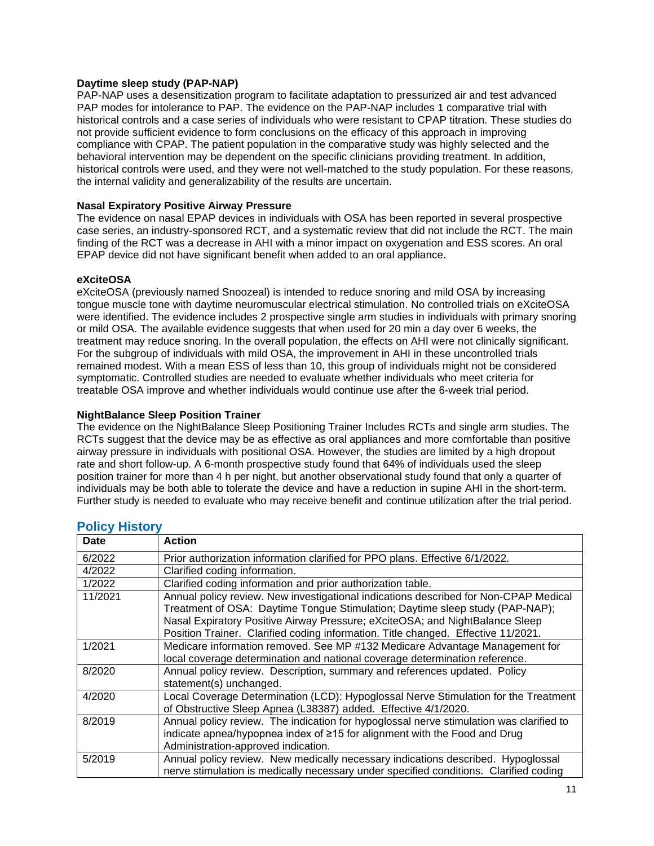### **Daytime sleep study (PAP-NAP)**

PAP-NAP uses a desensitization program to facilitate adaptation to pressurized air and test advanced PAP modes for intolerance to PAP. The evidence on the PAP-NAP includes 1 comparative trial with historical controls and a case series of individuals who were resistant to CPAP titration. These studies do not provide sufficient evidence to form conclusions on the efficacy of this approach in improving compliance with CPAP. The patient population in the comparative study was highly selected and the behavioral intervention may be dependent on the specific clinicians providing treatment. In addition, historical controls were used, and they were not well-matched to the study population. For these reasons, the internal validity and generalizability of the results are uncertain.

### **Nasal Expiratory Positive Airway Pressure**

The evidence on nasal EPAP devices in individuals with OSA has been reported in several prospective case series, an industry-sponsored RCT, and a systematic review that did not include the RCT. The main finding of the RCT was a decrease in AHI with a minor impact on oxygenation and ESS scores. An oral EPAP device did not have significant benefit when added to an oral appliance.

### **eXciteOSA**

eXciteOSA (previously named Snoozeal) is intended to reduce snoring and mild OSA by increasing tongue muscle tone with daytime neuromuscular electrical stimulation. No controlled trials on eXciteOSA were identified. The evidence includes 2 prospective single arm studies in individuals with primary snoring or mild OSA. The available evidence suggests that when used for 20 min a day over 6 weeks, the treatment may reduce snoring. In the overall population, the effects on AHI were not clinically significant. For the subgroup of individuals with mild OSA, the improvement in AHI in these uncontrolled trials remained modest. With a mean ESS of less than 10, this group of individuals might not be considered symptomatic. Controlled studies are needed to evaluate whether individuals who meet criteria for treatable OSA improve and whether individuals would continue use after the 6-week trial period.

### **NightBalance Sleep Position Trainer**

The evidence on the NightBalance Sleep Positioning Trainer Includes RCTs and single arm studies. The RCTs suggest that the device may be as effective as oral appliances and more comfortable than positive airway pressure in individuals with positional OSA. However, the studies are limited by a high dropout rate and short follow-up. A 6-month prospective study found that 64% of individuals used the sleep position trainer for more than 4 h per night, but another observational study found that only a quarter of individuals may be both able to tolerate the device and have a reduction in supine AHI in the short-term. Further study is needed to evaluate who may receive benefit and continue utilization after the trial period.

| $\cdots$ , $\cdots$ |                                                                                         |
|---------------------|-----------------------------------------------------------------------------------------|
| Date                | <b>Action</b>                                                                           |
| 6/2022              | Prior authorization information clarified for PPO plans. Effective 6/1/2022.            |
| 4/2022              | Clarified coding information.                                                           |
| 1/2022              | Clarified coding information and prior authorization table.                             |
| 11/2021             | Annual policy review. New investigational indications described for Non-CPAP Medical    |
|                     | Treatment of OSA: Daytime Tongue Stimulation; Daytime sleep study (PAP-NAP);            |
|                     | Nasal Expiratory Positive Airway Pressure; eXciteOSA; and NightBalance Sleep            |
|                     | Position Trainer. Clarified coding information. Title changed. Effective 11/2021.       |
| 1/2021              | Medicare information removed. See MP #132 Medicare Advantage Management for             |
|                     | local coverage determination and national coverage determination reference.             |
| 8/2020              | Annual policy review. Description, summary and references updated. Policy               |
|                     | statement(s) unchanged.                                                                 |
| 4/2020              | Local Coverage Determination (LCD): Hypoglossal Nerve Stimulation for the Treatment     |
|                     | of Obstructive Sleep Apnea (L38387) added. Effective 4/1/2020.                          |
| 8/2019              | Annual policy review. The indication for hypoglossal nerve stimulation was clarified to |
|                     | indicate apnea/hypopnea index of ≥15 for alignment with the Food and Drug               |
|                     | Administration-approved indication.                                                     |
| 5/2019              | Annual policy review. New medically necessary indications described. Hypoglossal        |
|                     | nerve stimulation is medically necessary under specified conditions. Clarified coding   |

### <span id="page-10-0"></span>**Policy History**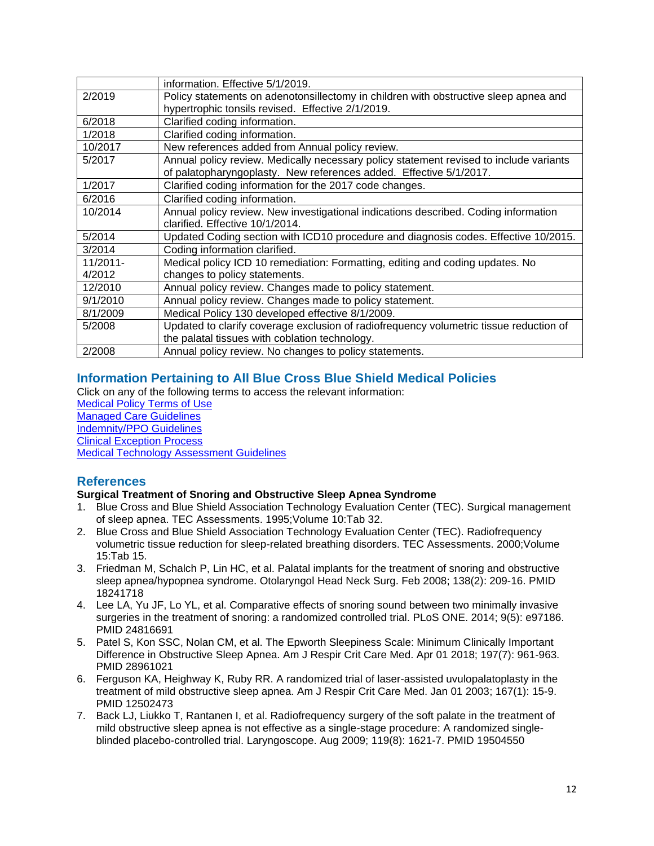|             | information. Effective 5/1/2019.                                                       |
|-------------|----------------------------------------------------------------------------------------|
| 2/2019      | Policy statements on adenotonsillectomy in children with obstructive sleep apnea and   |
|             | hypertrophic tonsils revised. Effective 2/1/2019.                                      |
| 6/2018      | Clarified coding information.                                                          |
| 1/2018      | Clarified coding information.                                                          |
| 10/2017     | New references added from Annual policy review.                                        |
| 5/2017      | Annual policy review. Medically necessary policy statement revised to include variants |
|             | of palatopharyngoplasty. New references added. Effective 5/1/2017.                     |
| 1/2017      | Clarified coding information for the 2017 code changes.                                |
| 6/2016      | Clarified coding information.                                                          |
| 10/2014     | Annual policy review. New investigational indications described. Coding information    |
|             | clarified. Effective 10/1/2014.                                                        |
| 5/2014      | Updated Coding section with ICD10 procedure and diagnosis codes. Effective 10/2015.    |
| 3/2014      | Coding information clarified.                                                          |
| $11/2011 -$ | Medical policy ICD 10 remediation: Formatting, editing and coding updates. No          |
| 4/2012      | changes to policy statements.                                                          |
| 12/2010     | Annual policy review. Changes made to policy statement.                                |
| 9/1/2010    | Annual policy review. Changes made to policy statement.                                |
| 8/1/2009    | Medical Policy 130 developed effective 8/1/2009.                                       |
| 5/2008      | Updated to clarify coverage exclusion of radiofrequency volumetric tissue reduction of |
|             | the palatal tissues with coblation technology.                                         |
| 2/2008      | Annual policy review. No changes to policy statements.                                 |

# <span id="page-11-0"></span>**[Information Pertaining to All Blue Cross Blue Shield Medical Policies](#page-11-0)**

Click on any of the following terms to access the relevant information:

[Medical Policy Terms of Use](http://www.bluecrossma.org/medical-policies/sites/g/files/csphws2091/files/acquiadam-assets/Medical_Policy_Terms_of_Use_prn.pdf) [Managed Care Guidelines](http://www.bluecrossma.org/medical-policies/sites/g/files/csphws2091/files/acquiadam-assets/Managed_Care_Guidelines_prn.pdf) [Indemnity/PPO Guidelines](http://www.bluecrossma.org/medical-policies/sites/g/files/csphws2091/files/acquiadam-assets/Indemnity_and_PPO_Guidelines_prn.pdf)

[Clinical Exception Process](http://www.bluecrossma.org/medical-policies/sites/g/files/csphws2091/files/acquiadam-assets/Clinical_Exception_Process_prn.pdf) [Medical Technology Assessment Guidelines](http://www.bluecrossma.org/medical-policies/sites/g/files/csphws2091/files/acquiadam-assets/Medical_Technology_Assessment_Guidelines_prn.pdf)

# <span id="page-11-1"></span>**References**

## **Surgical Treatment of Snoring and Obstructive Sleep Apnea Syndrome**

- 1. Blue Cross and Blue Shield Association Technology Evaluation Center (TEC). Surgical management of sleep apnea. TEC Assessments. 1995;Volume 10:Tab 32.
- 2. Blue Cross and Blue Shield Association Technology Evaluation Center (TEC). Radiofrequency volumetric tissue reduction for sleep-related breathing disorders. TEC Assessments. 2000;Volume 15:Tab 15.
- 3. Friedman M, Schalch P, Lin HC, et al. Palatal implants for the treatment of snoring and obstructive sleep apnea/hypopnea syndrome. Otolaryngol Head Neck Surg. Feb 2008; 138(2): 209-16. PMID 18241718
- 4. Lee LA, Yu JF, Lo YL, et al. Comparative effects of snoring sound between two minimally invasive surgeries in the treatment of snoring: a randomized controlled trial. PLoS ONE. 2014; 9(5): e97186. PMID 24816691
- 5. Patel S, Kon SSC, Nolan CM, et al. The Epworth Sleepiness Scale: Minimum Clinically Important Difference in Obstructive Sleep Apnea. Am J Respir Crit Care Med. Apr 01 2018; 197(7): 961-963. PMID 28961021
- 6. Ferguson KA, Heighway K, Ruby RR. A randomized trial of laser-assisted uvulopalatoplasty in the treatment of mild obstructive sleep apnea. Am J Respir Crit Care Med. Jan 01 2003; 167(1): 15-9. PMID 12502473
- 7. Back LJ, Liukko T, Rantanen I, et al. Radiofrequency surgery of the soft palate in the treatment of mild obstructive sleep apnea is not effective as a single-stage procedure: A randomized singleblinded placebo-controlled trial. Laryngoscope. Aug 2009; 119(8): 1621-7. PMID 19504550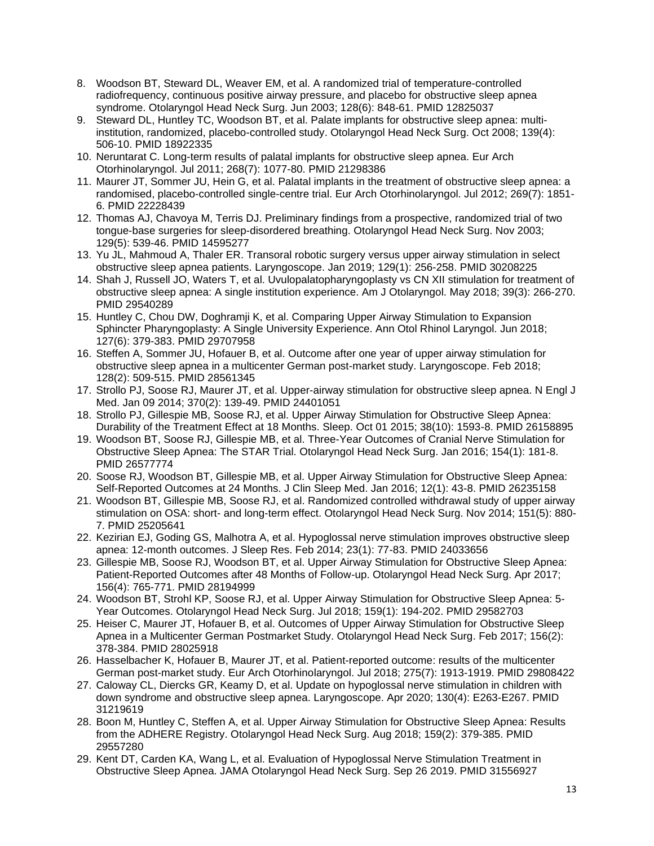- 8. Woodson BT, Steward DL, Weaver EM, et al. A randomized trial of temperature-controlled radiofrequency, continuous positive airway pressure, and placebo for obstructive sleep apnea syndrome. Otolaryngol Head Neck Surg. Jun 2003; 128(6): 848-61. PMID 12825037
- 9. Steward DL, Huntley TC, Woodson BT, et al. Palate implants for obstructive sleep apnea: multiinstitution, randomized, placebo-controlled study. Otolaryngol Head Neck Surg. Oct 2008; 139(4): 506-10. PMID 18922335
- 10. Neruntarat C. Long-term results of palatal implants for obstructive sleep apnea. Eur Arch Otorhinolaryngol. Jul 2011; 268(7): 1077-80. PMID 21298386
- 11. Maurer JT, Sommer JU, Hein G, et al. Palatal implants in the treatment of obstructive sleep apnea: a randomised, placebo-controlled single-centre trial. Eur Arch Otorhinolaryngol. Jul 2012; 269(7): 1851- 6. PMID 22228439
- 12. Thomas AJ, Chavoya M, Terris DJ. Preliminary findings from a prospective, randomized trial of two tongue-base surgeries for sleep-disordered breathing. Otolaryngol Head Neck Surg. Nov 2003; 129(5): 539-46. PMID 14595277
- 13. Yu JL, Mahmoud A, Thaler ER. Transoral robotic surgery versus upper airway stimulation in select obstructive sleep apnea patients. Laryngoscope. Jan 2019; 129(1): 256-258. PMID 30208225
- 14. Shah J, Russell JO, Waters T, et al. Uvulopalatopharyngoplasty vs CN XII stimulation for treatment of obstructive sleep apnea: A single institution experience. Am J Otolaryngol. May 2018; 39(3): 266-270. PMID 29540289
- 15. Huntley C, Chou DW, Doghramji K, et al. Comparing Upper Airway Stimulation to Expansion Sphincter Pharyngoplasty: A Single University Experience. Ann Otol Rhinol Laryngol. Jun 2018; 127(6): 379-383. PMID 29707958
- 16. Steffen A, Sommer JU, Hofauer B, et al. Outcome after one year of upper airway stimulation for obstructive sleep apnea in a multicenter German post-market study. Laryngoscope. Feb 2018; 128(2): 509-515. PMID 28561345
- 17. Strollo PJ, Soose RJ, Maurer JT, et al. Upper-airway stimulation for obstructive sleep apnea. N Engl J Med. Jan 09 2014; 370(2): 139-49. PMID 24401051
- 18. Strollo PJ, Gillespie MB, Soose RJ, et al. Upper Airway Stimulation for Obstructive Sleep Apnea: Durability of the Treatment Effect at 18 Months. Sleep. Oct 01 2015; 38(10): 1593-8. PMID 26158895
- 19. Woodson BT, Soose RJ, Gillespie MB, et al. Three-Year Outcomes of Cranial Nerve Stimulation for Obstructive Sleep Apnea: The STAR Trial. Otolaryngol Head Neck Surg. Jan 2016; 154(1): 181-8. PMID 26577774
- 20. Soose RJ, Woodson BT, Gillespie MB, et al. Upper Airway Stimulation for Obstructive Sleep Apnea: Self-Reported Outcomes at 24 Months. J Clin Sleep Med. Jan 2016; 12(1): 43-8. PMID 26235158
- 21. Woodson BT, Gillespie MB, Soose RJ, et al. Randomized controlled withdrawal study of upper airway stimulation on OSA: short- and long-term effect. Otolaryngol Head Neck Surg. Nov 2014; 151(5): 880- 7. PMID 25205641
- 22. Kezirian EJ, Goding GS, Malhotra A, et al. Hypoglossal nerve stimulation improves obstructive sleep apnea: 12-month outcomes. J Sleep Res. Feb 2014; 23(1): 77-83. PMID 24033656
- 23. Gillespie MB, Soose RJ, Woodson BT, et al. Upper Airway Stimulation for Obstructive Sleep Apnea: Patient-Reported Outcomes after 48 Months of Follow-up. Otolaryngol Head Neck Surg. Apr 2017; 156(4): 765-771. PMID 28194999
- 24. Woodson BT, Strohl KP, Soose RJ, et al. Upper Airway Stimulation for Obstructive Sleep Apnea: 5- Year Outcomes. Otolaryngol Head Neck Surg. Jul 2018; 159(1): 194-202. PMID 29582703
- 25. Heiser C, Maurer JT, Hofauer B, et al. Outcomes of Upper Airway Stimulation for Obstructive Sleep Apnea in a Multicenter German Postmarket Study. Otolaryngol Head Neck Surg. Feb 2017; 156(2): 378-384. PMID 28025918
- 26. Hasselbacher K, Hofauer B, Maurer JT, et al. Patient-reported outcome: results of the multicenter German post-market study. Eur Arch Otorhinolaryngol. Jul 2018; 275(7): 1913-1919. PMID 29808422
- 27. Caloway CL, Diercks GR, Keamy D, et al. Update on hypoglossal nerve stimulation in children with down syndrome and obstructive sleep apnea. Laryngoscope. Apr 2020; 130(4): E263-E267. PMID 31219619
- 28. Boon M, Huntley C, Steffen A, et al. Upper Airway Stimulation for Obstructive Sleep Apnea: Results from the ADHERE Registry. Otolaryngol Head Neck Surg. Aug 2018; 159(2): 379-385. PMID 29557280
- 29. Kent DT, Carden KA, Wang L, et al. Evaluation of Hypoglossal Nerve Stimulation Treatment in Obstructive Sleep Apnea. JAMA Otolaryngol Head Neck Surg. Sep 26 2019. PMID 31556927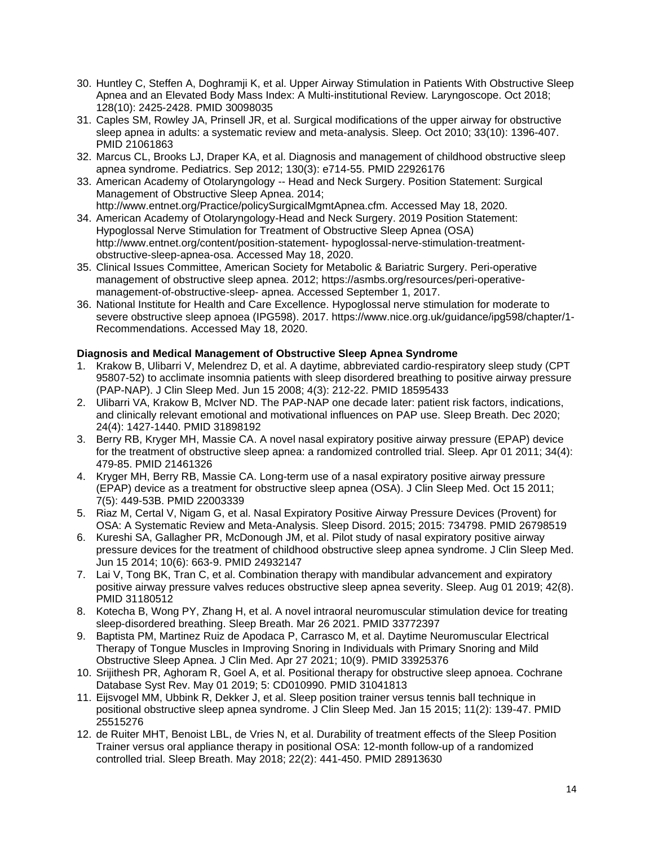- 30. Huntley C, Steffen A, Doghramji K, et al. Upper Airway Stimulation in Patients With Obstructive Sleep Apnea and an Elevated Body Mass Index: A Multi-institutional Review. Laryngoscope. Oct 2018; 128(10): 2425-2428. PMID 30098035
- 31. Caples SM, Rowley JA, Prinsell JR, et al. Surgical modifications of the upper airway for obstructive sleep apnea in adults: a systematic review and meta-analysis. Sleep. Oct 2010; 33(10): 1396-407. PMID 21061863
- 32. Marcus CL, Brooks LJ, Draper KA, et al. Diagnosis and management of childhood obstructive sleep apnea syndrome. Pediatrics. Sep 2012; 130(3): e714-55. PMID 22926176
- 33. American Academy of Otolaryngology -- Head and Neck Surgery. Position Statement: Surgical Management of Obstructive Sleep Apnea. 2014; http://www.entnet.org/Practice/policySurgicalMgmtApnea.cfm. Accessed May 18, 2020.
- 34. American Academy of Otolaryngology-Head and Neck Surgery. 2019 Position Statement: Hypoglossal Nerve Stimulation for Treatment of Obstructive Sleep Apnea (OSA) http://www.entnet.org/content/position-statement- hypoglossal-nerve-stimulation-treatmentobstructive-sleep-apnea-osa. Accessed May 18, 2020.
- 35. Clinical Issues Committee, American Society for Metabolic & Bariatric Surgery. Peri-operative management of obstructive sleep apnea. 2012; https://asmbs.org/resources/peri-operativemanagement-of-obstructive-sleep- apnea. Accessed September 1, 2017.
- 36. National Institute for Health and Care Excellence. Hypoglossal nerve stimulation for moderate to severe obstructive sleep apnoea (IPG598). 2017. https://www.nice.org.uk/guidance/ipg598/chapter/1- Recommendations. Accessed May 18, 2020.

### **Diagnosis and Medical Management of Obstructive Sleep Apnea Syndrome**

- 1. Krakow B, Ulibarri V, Melendrez D, et al. A daytime, abbreviated cardio-respiratory sleep study (CPT 95807-52) to acclimate insomnia patients with sleep disordered breathing to positive airway pressure (PAP-NAP). J Clin Sleep Med. Jun 15 2008; 4(3): 212-22. PMID 18595433
- 2. Ulibarri VA, Krakow B, McIver ND. The PAP-NAP one decade later: patient risk factors, indications, and clinically relevant emotional and motivational influences on PAP use. Sleep Breath. Dec 2020; 24(4): 1427-1440. PMID 31898192
- 3. Berry RB, Kryger MH, Massie CA. A novel nasal expiratory positive airway pressure (EPAP) device for the treatment of obstructive sleep apnea: a randomized controlled trial. Sleep. Apr 01 2011; 34(4): 479-85. PMID 21461326
- 4. Kryger MH, Berry RB, Massie CA. Long-term use of a nasal expiratory positive airway pressure (EPAP) device as a treatment for obstructive sleep apnea (OSA). J Clin Sleep Med. Oct 15 2011; 7(5): 449-53B. PMID 22003339
- 5. Riaz M, Certal V, Nigam G, et al. Nasal Expiratory Positive Airway Pressure Devices (Provent) for OSA: A Systematic Review and Meta-Analysis. Sleep Disord. 2015; 2015: 734798. PMID 26798519
- 6. Kureshi SA, Gallagher PR, McDonough JM, et al. Pilot study of nasal expiratory positive airway pressure devices for the treatment of childhood obstructive sleep apnea syndrome. J Clin Sleep Med. Jun 15 2014; 10(6): 663-9. PMID 24932147
- 7. Lai V, Tong BK, Tran C, et al. Combination therapy with mandibular advancement and expiratory positive airway pressure valves reduces obstructive sleep apnea severity. Sleep. Aug 01 2019; 42(8). PMID 31180512
- 8. Kotecha B, Wong PY, Zhang H, et al. A novel intraoral neuromuscular stimulation device for treating sleep-disordered breathing. Sleep Breath. Mar 26 2021. PMID 33772397
- 9. Baptista PM, Martinez Ruiz de Apodaca P, Carrasco M, et al. Daytime Neuromuscular Electrical Therapy of Tongue Muscles in Improving Snoring in Individuals with Primary Snoring and Mild Obstructive Sleep Apnea. J Clin Med. Apr 27 2021; 10(9). PMID 33925376
- 10. Srijithesh PR, Aghoram R, Goel A, et al. Positional therapy for obstructive sleep apnoea. Cochrane Database Syst Rev. May 01 2019; 5: CD010990. PMID 31041813
- 11. Eijsvogel MM, Ubbink R, Dekker J, et al. Sleep position trainer versus tennis ball technique in positional obstructive sleep apnea syndrome. J Clin Sleep Med. Jan 15 2015; 11(2): 139-47. PMID 25515276
- 12. de Ruiter MHT, Benoist LBL, de Vries N, et al. Durability of treatment effects of the Sleep Position Trainer versus oral appliance therapy in positional OSA: 12-month follow-up of a randomized controlled trial. Sleep Breath. May 2018; 22(2): 441-450. PMID 28913630